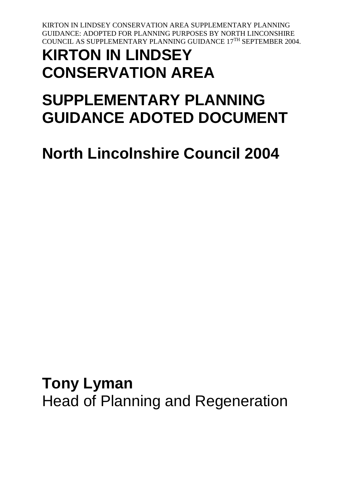# **KIRTON IN LINDSEY CONSERVATION AREA**

# **SUPPLEMENTARY PLANNING GUIDANCE ADOTED DOCUMENT**

**North Lincolnshire Council 2004**

**Tony Lyman** Head of Planning and Regeneration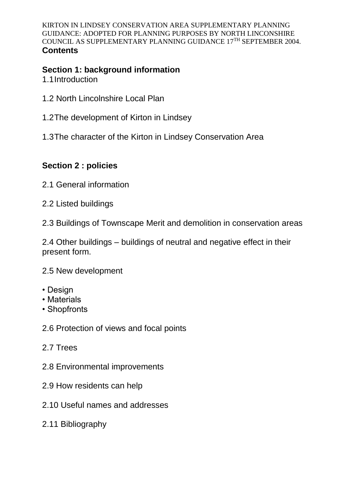## **Section 1: background information**

1.1Introduction

- 1.2 North Lincolnshire Local Plan
- 1.2The development of Kirton in Lindsey
- 1.3The character of the Kirton in Lindsey Conservation Area

## **Section 2 : policies**

- 2.1 General information
- 2.2 Listed buildings
- 2.3 Buildings of Townscape Merit and demolition in conservation areas

2.4 Other buildings – buildings of neutral and negative effect in their present form.

2.5 New development

- Design
- Materials
- Shopfronts
- 2.6 Protection of views and focal points
- 2.7 Trees
- 2.8 Environmental improvements
- 2.9 How residents can help
- 2.10 Useful names and addresses
- 2.11 Bibliography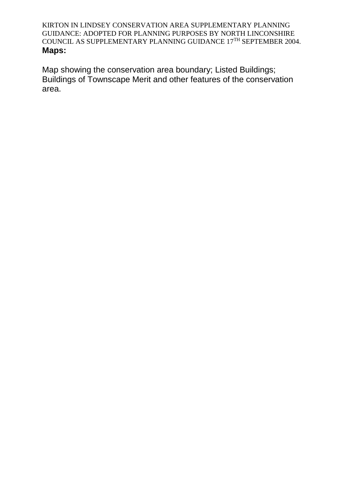Map showing the conservation area boundary; Listed Buildings; Buildings of Townscape Merit and other features of the conservation area.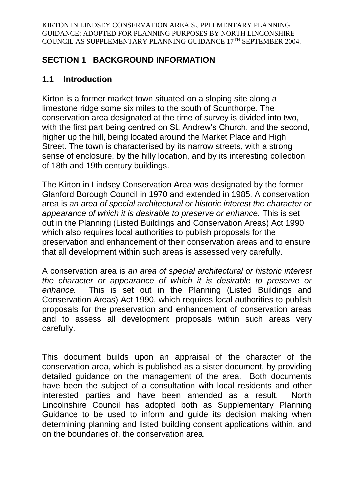## **SECTION 1 BACKGROUND INFORMATION**

## **1.1 Introduction**

Kirton is a former market town situated on a sloping site along a limestone ridge some six miles to the south of Scunthorpe. The conservation area designated at the time of survey is divided into two, with the first part being centred on St. Andrew's Church, and the second, higher up the hill, being located around the Market Place and High Street. The town is characterised by its narrow streets, with a strong sense of enclosure, by the hilly location, and by its interesting collection of 18th and 19th century buildings.

The Kirton in Lindsey Conservation Area was designated by the former Glanford Borough Council in 1970 and extended in 1985. A conservation area is *an area of special architectural or historic interest the character or appearance of which it is desirable to preserve or enhance.* This is set out in the Planning (Listed Buildings and Conservation Areas) Act 1990 which also requires local authorities to publish proposals for the preservation and enhancement of their conservation areas and to ensure that all development within such areas is assessed very carefully.

A conservation area is *an area of special architectural or historic interest the character or appearance of which it is desirable to preserve or enhance.* This is set out in the Planning (Listed Buildings and Conservation Areas) Act 1990, which requires local authorities to publish proposals for the preservation and enhancement of conservation areas and to assess all development proposals within such areas very carefully.

This document builds upon an appraisal of the character of the conservation area, which is published as a sister document, by providing detailed guidance on the management of the area. Both documents have been the subject of a consultation with local residents and other interested parties and have been amended as a result. North Lincolnshire Council has adopted both as Supplementary Planning Guidance to be used to inform and guide its decision making when determining planning and listed building consent applications within, and on the boundaries of, the conservation area.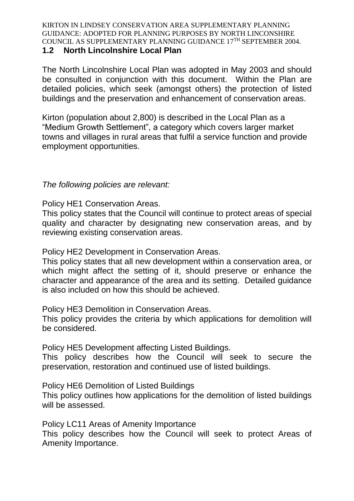#### **1.2 North Lincolnshire Local Plan**

The North Lincolnshire Local Plan was adopted in May 2003 and should be consulted in conjunction with this document. Within the Plan are detailed policies, which seek (amongst others) the protection of listed buildings and the preservation and enhancement of conservation areas.

Kirton (population about 2,800) is described in the Local Plan as a "Medium Growth Settlement", a category which covers larger market towns and villages in rural areas that fulfil a service function and provide employment opportunities.

### *The following policies are relevant:*

Policy HE1 Conservation Areas.

This policy states that the Council will continue to protect areas of special quality and character by designating new conservation areas, and by reviewing existing conservation areas.

Policy HE2 Development in Conservation Areas.

This policy states that all new development within a conservation area, or which might affect the setting of it, should preserve or enhance the character and appearance of the area and its setting. Detailed guidance is also included on how this should be achieved.

Policy HE3 Demolition in Conservation Areas.

This policy provides the criteria by which applications for demolition will be considered.

Policy HE5 Development affecting Listed Buildings.

This policy describes how the Council will seek to secure the preservation, restoration and continued use of listed buildings.

Policy HE6 Demolition of Listed Buildings

This policy outlines how applications for the demolition of listed buildings will be assessed.

Policy LC11 Areas of Amenity Importance

This policy describes how the Council will seek to protect Areas of Amenity Importance.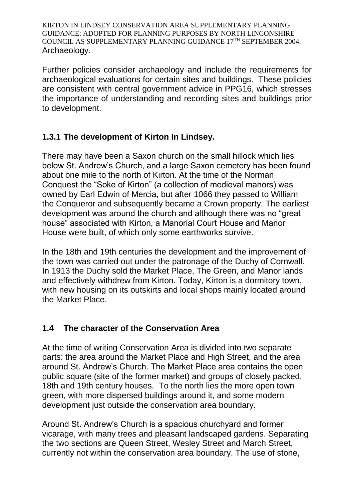Further policies consider archaeology and include the requirements for archaeological evaluations for certain sites and buildings. These policies are consistent with central government advice in PPG16, which stresses the importance of understanding and recording sites and buildings prior to development.

## **1.3.1 The development of Kirton In Lindsey.**

There may have been a Saxon church on the small hillock which lies below St. Andrew's Church, and a large Saxon cemetery has been found about one mile to the north of Kirton. At the time of the Norman Conquest the "Soke of Kirton" (a collection of medieval manors) was owned by Earl Edwin of Mercia, but after 1066 they passed to William the Conqueror and subsequently became a Crown property. The earliest development was around the church and although there was no "great house" associated with Kirton, a Manorial Court House and Manor House were built, of which only some earthworks survive.

In the 18th and 19th centuries the development and the improvement of the town was carried out under the patronage of the Duchy of Cornwall. In 1913 the Duchy sold the Market Place, The Green, and Manor lands and effectively withdrew from Kirton. Today, Kirton is a dormitory town, with new housing on its outskirts and local shops mainly located around the Market Place.

## **1.4 The character of the Conservation Area**

At the time of writing Conservation Area is divided into two separate parts: the area around the Market Place and High Street, and the area around St. Andrew's Church. The Market Place area contains the open public square (site of the former market) and groups of closely packed, 18th and 19th century houses. To the north lies the more open town green, with more dispersed buildings around it, and some modern development just outside the conservation area boundary.

Around St. Andrew's Church is a spacious churchyard and former vicarage, with many trees and pleasant landscaped gardens. Separating the two sections are Queen Street, Wesley Street and March Street, currently not within the conservation area boundary. The use of stone,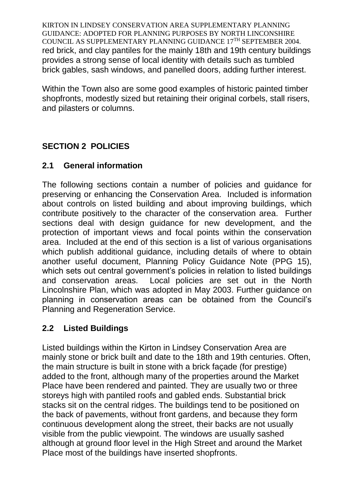KIRTON IN LINDSEY CONSERVATION AREA SUPPLEMENTARY PLANNING GUIDANCE: ADOPTED FOR PLANNING PURPOSES BY NORTH LINCONSHIRE COUNCIL AS SUPPLEMENTARY PLANNING GUIDANCE 17TH SEPTEMBER 2004. red brick, and clay pantiles for the mainly 18th and 19th century buildings provides a strong sense of local identity with details such as tumbled brick gables, sash windows, and panelled doors, adding further interest.

Within the Town also are some good examples of historic painted timber shopfronts, modestly sized but retaining their original corbels, stall risers, and pilasters or columns.

## **SECTION 2 POLICIES**

## **2.1 General information**

The following sections contain a number of policies and guidance for preserving or enhancing the Conservation Area. Included is information about controls on listed building and about improving buildings, which contribute positively to the character of the conservation area. Further sections deal with design guidance for new development, and the protection of important views and focal points within the conservation area. Included at the end of this section is a list of various organisations which publish additional guidance, including details of where to obtain another useful document, Planning Policy Guidance Note (PPG 15), which sets out central government's policies in relation to listed buildings and conservation areas. Local policies are set out in the North Lincolnshire Plan, which was adopted in May 2003. Further guidance on planning in conservation areas can be obtained from the Council's Planning and Regeneration Service.

## **2.2 Listed Buildings**

Listed buildings within the Kirton in Lindsey Conservation Area are mainly stone or brick built and date to the 18th and 19th centuries. Often, the main structure is built in stone with a brick façade (for prestige) added to the front, although many of the properties around the Market Place have been rendered and painted. They are usually two or three storeys high with pantiled roofs and gabled ends. Substantial brick stacks sit on the central ridges. The buildings tend to be positioned on the back of pavements, without front gardens, and because they form continuous development along the street, their backs are not usually visible from the public viewpoint. The windows are usually sashed although at ground floor level in the High Street and around the Market Place most of the buildings have inserted shopfronts.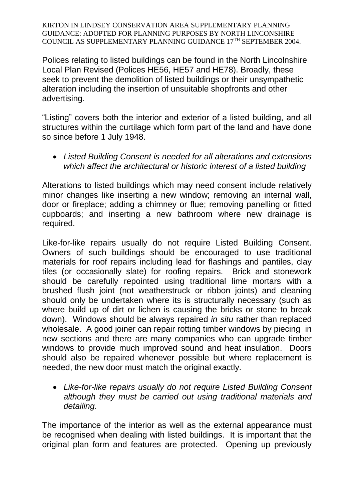Polices relating to listed buildings can be found in the North Lincolnshire Local Plan Revised (Polices HE56, HE57 and HE78). Broadly, these seek to prevent the demolition of listed buildings or their unsympathetic alteration including the insertion of unsuitable shopfronts and other advertising.

"Listing" covers both the interior and exterior of a listed building, and all structures within the curtilage which form part of the land and have done so since before 1 July 1948.

 *Listed Building Consent is needed for all alterations and extensions which affect the architectural or historic interest of a listed building*

Alterations to listed buildings which may need consent include relatively minor changes like inserting a new window; removing an internal wall, door or fireplace; adding a chimney or flue; removing panelling or fitted cupboards; and inserting a new bathroom where new drainage is required.

Like-for-like repairs usually do not require Listed Building Consent. Owners of such buildings should be encouraged to use traditional materials for roof repairs including lead for flashings and pantiles, clay tiles (or occasionally slate) for roofing repairs. Brick and stonework should be carefully repointed using traditional lime mortars with a brushed flush joint (not weatherstruck or ribbon joints) and cleaning should only be undertaken where its is structurally necessary (such as where build up of dirt or lichen is causing the bricks or stone to break down). Windows should be always repaired *in situ* rather than replaced wholesale. A good joiner can repair rotting timber windows by piecing in new sections and there are many companies who can upgrade timber windows to provide much improved sound and heat insulation. Doors should also be repaired whenever possible but where replacement is needed, the new door must match the original exactly.

 *Like-for-like repairs usually do not require Listed Building Consent although they must be carried out using traditional materials and detailing.*

The importance of the interior as well as the external appearance must be recognised when dealing with listed buildings. It is important that the original plan form and features are protected. Opening up previously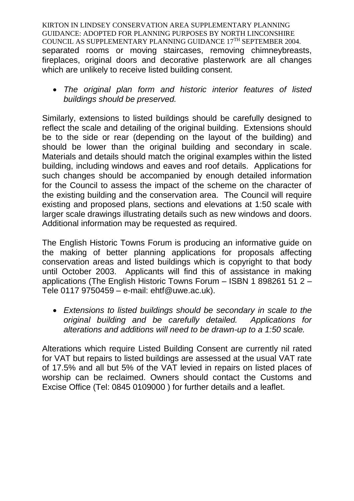KIRTON IN LINDSEY CONSERVATION AREA SUPPLEMENTARY PLANNING GUIDANCE: ADOPTED FOR PLANNING PURPOSES BY NORTH LINCONSHIRE COUNCIL AS SUPPLEMENTARY PLANNING GUIDANCE 17TH SEPTEMBER 2004. separated rooms or moving staircases, removing chimneybreasts, fireplaces, original doors and decorative plasterwork are all changes which are unlikely to receive listed building consent.

 *The original plan form and historic interior features of listed buildings should be preserved.*

Similarly, extensions to listed buildings should be carefully designed to reflect the scale and detailing of the original building. Extensions should be to the side or rear (depending on the layout of the building) and should be lower than the original building and secondary in scale. Materials and details should match the original examples within the listed building, including windows and eaves and roof details. Applications for such changes should be accompanied by enough detailed information for the Council to assess the impact of the scheme on the character of the existing building and the conservation area. The Council will require existing and proposed plans, sections and elevations at 1:50 scale with larger scale drawings illustrating details such as new windows and doors. Additional information may be requested as required.

The English Historic Towns Forum is producing an informative guide on the making of better planning applications for proposals affecting conservation areas and listed buildings which is copyright to that body until October 2003. Applicants will find this of assistance in making applications (The English Historic Towns Forum – ISBN 1 898261 51 2 – Tele 0117 9750459 – e-mail: ehtf@uwe.ac.uk).

 *Extensions to listed buildings should be secondary in scale to the original building and be carefully detailed. Applications for alterations and additions will need to be drawn-up to a 1:50 scale.*

Alterations which require Listed Building Consent are currently nil rated for VAT but repairs to listed buildings are assessed at the usual VAT rate of 17.5% and all but 5% of the VAT levied in repairs on listed places of worship can be reclaimed. Owners should contact the Customs and Excise Office (Tel: 0845 0109000 ) for further details and a leaflet.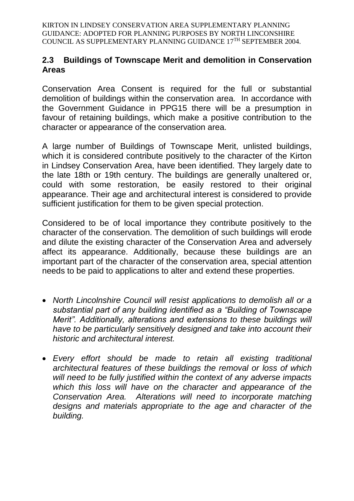### **2.3 Buildings of Townscape Merit and demolition in Conservation Areas**

Conservation Area Consent is required for the full or substantial demolition of buildings within the conservation area. In accordance with the Government Guidance in PPG15 there will be a presumption in favour of retaining buildings, which make a positive contribution to the character or appearance of the conservation area.

A large number of Buildings of Townscape Merit, unlisted buildings, which it is considered contribute positively to the character of the Kirton in Lindsey Conservation Area, have been identified. They largely date to the late 18th or 19th century. The buildings are generally unaltered or, could with some restoration, be easily restored to their original appearance. Their age and architectural interest is considered to provide sufficient justification for them to be given special protection.

Considered to be of local importance they contribute positively to the character of the conservation. The demolition of such buildings will erode and dilute the existing character of the Conservation Area and adversely affect its appearance. Additionally, because these buildings are an important part of the character of the conservation area, special attention needs to be paid to applications to alter and extend these properties.

- *North Lincolnshire Council will resist applications to demolish all or a substantial part of any building identified as a "Building of Townscape Merit". Additionally, alterations and extensions to these buildings will have to be particularly sensitively designed and take into account their historic and architectural interest.*
- *Every effort should be made to retain all existing traditional architectural features of these buildings the removal or loss of which will need to be fully justified within the context of any adverse impacts which this loss will have on the character and appearance of the Conservation Area. Alterations will need to incorporate matching designs and materials appropriate to the age and character of the building.*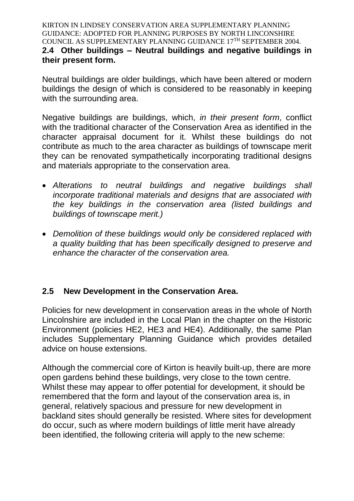KIRTON IN LINDSEY CONSERVATION AREA SUPPLEMENTARY PLANNING GUIDANCE: ADOPTED FOR PLANNING PURPOSES BY NORTH LINCONSHIRE COUNCIL AS SUPPLEMENTARY PLANNING GUIDANCE 17TH SEPTEMBER 2004. **2.4 Other buildings – Neutral buildings and negative buildings in their present form.**

Neutral buildings are older buildings, which have been altered or modern buildings the design of which is considered to be reasonably in keeping with the surrounding area.

Negative buildings are buildings, which, *in their present form*, conflict with the traditional character of the Conservation Area as identified in the character appraisal document for it. Whilst these buildings do not contribute as much to the area character as buildings of townscape merit they can be renovated sympathetically incorporating traditional designs and materials appropriate to the conservation area.

- *Alterations to neutral buildings and negative buildings shall incorporate traditional materials and designs that are associated with the key buildings in the conservation area (listed buildings and buildings of townscape merit.)*
- *Demolition of these buildings would only be considered replaced with a quality building that has been specifically designed to preserve and enhance the character of the conservation area.*

## **2.5 New Development in the Conservation Area.**

Policies for new development in conservation areas in the whole of North Lincolnshire are included in the Local Plan in the chapter on the Historic Environment (policies HE2, HE3 and HE4). Additionally, the same Plan includes Supplementary Planning Guidance which provides detailed advice on house extensions.

Although the commercial core of Kirton is heavily built-up, there are more open gardens behind these buildings, very close to the town centre. Whilst these may appear to offer potential for development, it should be remembered that the form and layout of the conservation area is, in general, relatively spacious and pressure for new development in backland sites should generally be resisted. Where sites for development do occur, such as where modern buildings of little merit have already been identified, the following criteria will apply to the new scheme: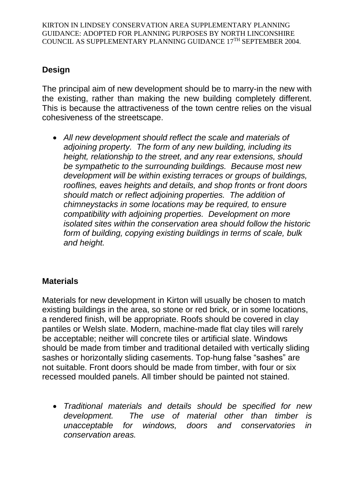## **Design**

The principal aim of new development should be to marry-in the new with the existing, rather than making the new building completely different. This is because the attractiveness of the town centre relies on the visual cohesiveness of the streetscape.

 *All new development should reflect the scale and materials of adjoining property. The form of any new building, including its height, relationship to the street, and any rear extensions, should be sympathetic to the surrounding buildings. Because most new development will be within existing terraces or groups of buildings, rooflines, eaves heights and details, and shop fronts or front doors should match or reflect adjoining properties. The addition of chimneystacks in some locations may be required, to ensure compatibility with adjoining properties. Development on more isolated sites within the conservation area should follow the historic form of building, copying existing buildings in terms of scale, bulk and height.* 

## **Materials**

Materials for new development in Kirton will usually be chosen to match existing buildings in the area, so stone or red brick, or in some locations, a rendered finish, will be appropriate. Roofs should be covered in clay pantiles or Welsh slate. Modern, machine-made flat clay tiles will rarely be acceptable; neither will concrete tiles or artificial slate. Windows should be made from timber and traditional detailed with vertically sliding sashes or horizontally sliding casements. Top-hung false "sashes" are not suitable. Front doors should be made from timber, with four or six recessed moulded panels. All timber should be painted not stained.

 *Traditional materials and details should be specified for new development. The use of material other than timber is unacceptable for windows, doors and conservatories in conservation areas.*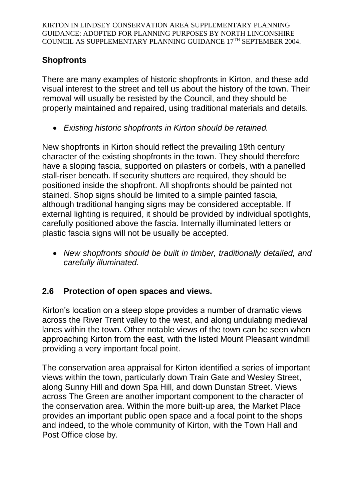## **Shopfronts**

There are many examples of historic shopfronts in Kirton, and these add visual interest to the street and tell us about the history of the town. Their removal will usually be resisted by the Council, and they should be properly maintained and repaired, using traditional materials and details.

*Existing historic shopfronts in Kirton should be retained.* 

New shopfronts in Kirton should reflect the prevailing 19th century character of the existing shopfronts in the town. They should therefore have a sloping fascia, supported on pilasters or corbels, with a panelled stall-riser beneath. If security shutters are required, they should be positioned inside the shopfront. All shopfronts should be painted not stained. Shop signs should be limited to a simple painted fascia, although traditional hanging signs may be considered acceptable. If external lighting is required, it should be provided by individual spotlights, carefully positioned above the fascia. Internally illuminated letters or plastic fascia signs will not be usually be accepted.

 *New shopfronts should be built in timber, traditionally detailed, and carefully illuminated.*

## **2.6 Protection of open spaces and views.**

Kirton's location on a steep slope provides a number of dramatic views across the River Trent valley to the west, and along undulating medieval lanes within the town. Other notable views of the town can be seen when approaching Kirton from the east, with the listed Mount Pleasant windmill providing a very important focal point.

The conservation area appraisal for Kirton identified a series of important views within the town, particularly down Train Gate and Wesley Street, along Sunny Hill and down Spa Hill, and down Dunstan Street. Views across The Green are another important component to the character of the conservation area. Within the more built-up area, the Market Place provides an important public open space and a focal point to the shops and indeed, to the whole community of Kirton, with the Town Hall and Post Office close by.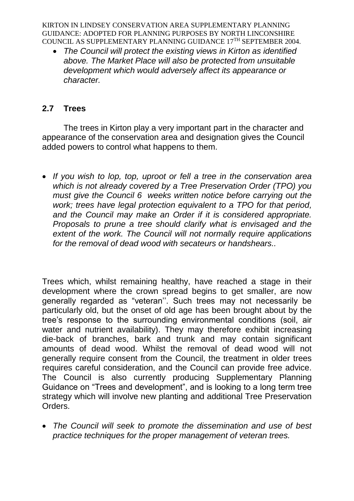*The Council will protect the existing views in Kirton as identified above. The Market Place will also be protected from unsuitable development which would adversely affect its appearance or character.* 

## **2.7 Trees**

The trees in Kirton play a very important part in the character and appearance of the conservation area and designation gives the Council added powers to control what happens to them.

 *If you wish to lop, top, uproot or fell a tree in the conservation area which is not already covered by a Tree Preservation Order (TPO) you must give the Council 6 weeks written notice before carrying out the work; trees have legal protection equivalent to a TPO for that period, and the Council may make an Order if it is considered appropriate. Proposals to prune a tree should clarify what is envisaged and the extent of the work. The Council will not normally require applications for the removal of dead wood with secateurs or handshears..*

Trees which, whilst remaining healthy, have reached a stage in their development where the crown spread begins to get smaller, are now generally regarded as "veteran''. Such trees may not necessarily be particularly old, but the onset of old age has been brought about by the tree's response to the surrounding environmental conditions (soil, air water and nutrient availability). They may therefore exhibit increasing die-back of branches, bark and trunk and may contain significant amounts of dead wood. Whilst the removal of dead wood will not generally require consent from the Council, the treatment in older trees requires careful consideration, and the Council can provide free advice. The Council is also currently producing Supplementary Planning Guidance on "Trees and development", and is looking to a long term tree strategy which will involve new planting and additional Tree Preservation Orders.

 *The Council will seek to promote the dissemination and use of best practice techniques for the proper management of veteran trees.*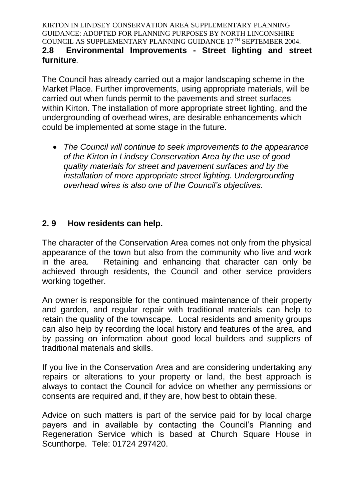KIRTON IN LINDSEY CONSERVATION AREA SUPPLEMENTARY PLANNING GUIDANCE: ADOPTED FOR PLANNING PURPOSES BY NORTH LINCONSHIRE COUNCIL AS SUPPLEMENTARY PLANNING GUIDANCE 17TH SEPTEMBER 2004. **2.8 Environmental Improvements - Street lighting and street furniture***.* 

The Council has already carried out a major landscaping scheme in the Market Place. Further improvements, using appropriate materials, will be carried out when funds permit to the pavements and street surfaces within Kirton. The installation of more appropriate street lighting, and the undergrounding of overhead wires, are desirable enhancements which could be implemented at some stage in the future.

 *The Council will continue to seek improvements to the appearance of the Kirton in Lindsey Conservation Area by the use of good quality materials for street and pavement surfaces and by the installation of more appropriate street lighting. Undergrounding overhead wires is also one of the Council's objectives.* 

### **2. 9 How residents can help.**

The character of the Conservation Area comes not only from the physical appearance of the town but also from the community who live and work in the area. Retaining and enhancing that character can only be achieved through residents, the Council and other service providers working together.

An owner is responsible for the continued maintenance of their property and garden, and regular repair with traditional materials can help to retain the quality of the townscape. Local residents and amenity groups can also help by recording the local history and features of the area, and by passing on information about good local builders and suppliers of traditional materials and skills.

If you live in the Conservation Area and are considering undertaking any repairs or alterations to your property or land, the best approach is always to contact the Council for advice on whether any permissions or consents are required and, if they are, how best to obtain these.

Advice on such matters is part of the service paid for by local charge payers and in available by contacting the Council's Planning and Regeneration Service which is based at Church Square House in Scunthorpe. Tele: 01724 297420.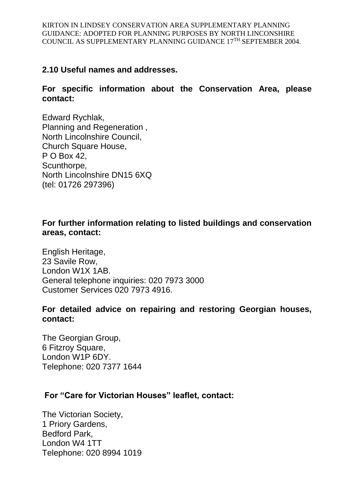### **2.10 Useful names and addresses.**

#### **For specific information about the Conservation Area, please contact:**

Edward Rychlak, Planning and Regeneration , North Lincolnshire Council, Church Square House, P O Box 42, Scunthorpe, North Lincolnshire DN15 6XQ (tel: 01726 297396)

### **For further information relating to listed buildings and conservation areas, contact:**

English Heritage, 23 Savile Row, London W1X 1AB. General telephone inquiries: 020 7973 3000 Customer Services 020 7973 4916.

#### **For detailed advice on repairing and restoring Georgian houses, contact:**

The Georgian Group, 6 Fitzroy Square, London W1P 6DY. Telephone: 020 7377 1644

### **For "Care for Victorian Houses" leaflet, contact:**

The Victorian Society, 1 Priory Gardens, Bedford Park, London W4 1TT Telephone: 020 8994 1019